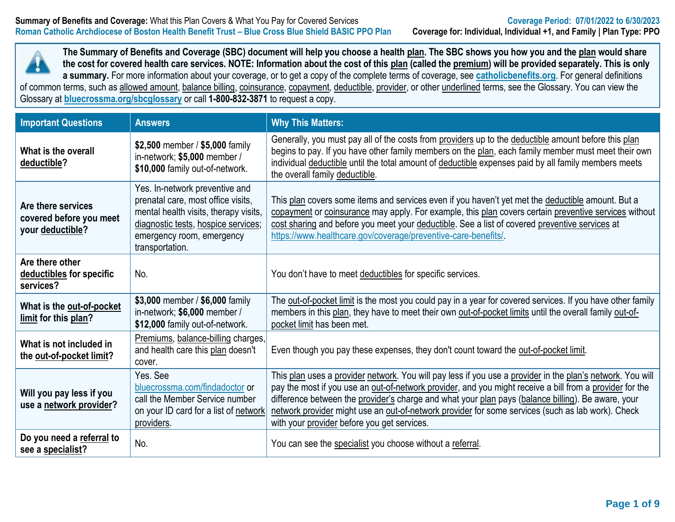

**The Summary of Benefits and Coverage (SBC) document will help you choose a health plan. The SBC shows you how you and the plan would share the cost for covered health care services. NOTE: Information about the cost of this plan (called the premium) will be provided separately. This is only a summary.** For more information about your coverage, or to get a copy of the complete terms of coverage, see **[catholicbenefits.org](http://catholicbenefits.org/)**. For general definitions of common terms, such as allowed amount, balance billing, coinsurance, copayment, deductible, provider, or other underlined terms, see the Glossary. You can view the

Glossary at **[bluecrossma.org/sbcglossary](https://home.bluecrossma.com/collateral/sites/g/files/csphws1571/files/acquiadam-assets/55-0382_SBC_Glossary_Medical_Terms.pdf)** or call **1-800-832-3871** to request a copy.

| <b>Important Questions</b>                                        | <b>Answers</b>                                                                                                                                                                                       | <b>Why This Matters:</b>                                                                                                                                                                                                                                                                                                                                                                                                                                                         |
|-------------------------------------------------------------------|------------------------------------------------------------------------------------------------------------------------------------------------------------------------------------------------------|----------------------------------------------------------------------------------------------------------------------------------------------------------------------------------------------------------------------------------------------------------------------------------------------------------------------------------------------------------------------------------------------------------------------------------------------------------------------------------|
| What is the overall<br>deductible?                                | \$2,500 member / \$5,000 family<br>in-network; \$5,000 member /<br>\$10,000 family out-of-network.                                                                                                   | Generally, you must pay all of the costs from providers up to the deductible amount before this plan<br>begins to pay. If you have other family members on the plan, each family member must meet their own<br>individual deductible until the total amount of deductible expenses paid by all family members meets<br>the overall family deductible.                                                                                                                            |
| Are there services<br>covered before you meet<br>your deductible? | Yes. In-network preventive and<br>prenatal care, most office visits,<br>mental health visits, therapy visits,<br>diagnostic tests, hospice services;<br>emergency room, emergency<br>transportation. | This plan covers some items and services even if you haven't yet met the deductible amount. But a<br>copayment or coinsurance may apply. For example, this plan covers certain preventive services without<br>cost sharing and before you meet your deductible. See a list of covered preventive services at<br>https://www.healthcare.gov/coverage/preventive-care-benefits/                                                                                                    |
| Are there other<br>deductibles for specific<br>services?          | No.                                                                                                                                                                                                  | You don't have to meet deductibles for specific services.                                                                                                                                                                                                                                                                                                                                                                                                                        |
| What is the out-of-pocket<br>limit for this plan?                 | \$3,000 member / \$6,000 family<br>in-network; \$6,000 member /<br>\$12,000 family out-of-network.                                                                                                   | The out-of-pocket limit is the most you could pay in a year for covered services. If you have other family<br>members in this plan, they have to meet their own out-of-pocket limits until the overall family out-of-<br>pocket limit has been met.                                                                                                                                                                                                                              |
| What is not included in<br>the out-of-pocket limit?               | Premiums, balance-billing charges,<br>and health care this plan doesn't<br>cover.                                                                                                                    | Even though you pay these expenses, they don't count toward the out-of-pocket limit.                                                                                                                                                                                                                                                                                                                                                                                             |
| Will you pay less if you<br>use a network provider?               | Yes. See<br>bluecrossma.com/findadoctor or<br>call the Member Service number<br>on your ID card for a list of network<br>providers.                                                                  | This plan uses a provider network. You will pay less if you use a provider in the plan's network. You will<br>pay the most if you use an out-of-network provider, and you might receive a bill from a provider for the<br>difference between the provider's charge and what your plan pays (balance billing). Be aware, your<br>network provider might use an out-of-network provider for some services (such as lab work). Check<br>with your provider before you get services. |
| Do you need a referral to<br>see a specialist?                    | No.                                                                                                                                                                                                  | You can see the specialist you choose without a referral.                                                                                                                                                                                                                                                                                                                                                                                                                        |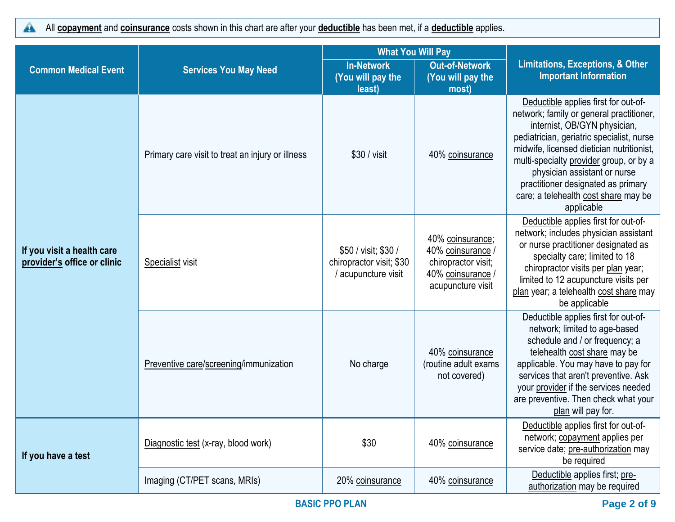All **copayment** and **coinsurance** costs shown in this chart are after your **deductible** has been met, if a **deductible** applies.  $\blacktriangle$ 

|                                                           |                                                  | <b>What You Will Pay</b>                                                |                                                                                                      | <b>Limitations, Exceptions, &amp; Other</b><br><b>Important Information</b>                                                                                                                                                                                                                                                                                                       |  |
|-----------------------------------------------------------|--------------------------------------------------|-------------------------------------------------------------------------|------------------------------------------------------------------------------------------------------|-----------------------------------------------------------------------------------------------------------------------------------------------------------------------------------------------------------------------------------------------------------------------------------------------------------------------------------------------------------------------------------|--|
| <b>Common Medical Event</b>                               | <b>Services You May Need</b>                     | <b>In-Network</b><br>(You will pay the<br>least)                        | <b>Out-of-Network</b><br>(You will pay the<br>most)                                                  |                                                                                                                                                                                                                                                                                                                                                                                   |  |
|                                                           | Primary care visit to treat an injury or illness | \$30 / visit                                                            | 40% coinsurance                                                                                      | Deductible applies first for out-of-<br>network; family or general practitioner,<br>internist, OB/GYN physician,<br>pediatrician, geriatric specialist, nurse<br>midwife, licensed dietician nutritionist,<br>multi-specialty provider group, or by a<br>physician assistant or nurse<br>practitioner designated as primary<br>care; a telehealth cost share may be<br>applicable |  |
| If you visit a health care<br>provider's office or clinic | Specialist visit                                 | \$50 / visit; \$30 /<br>chiropractor visit; \$30<br>/ acupuncture visit | 40% coinsurance;<br>40% coinsurance /<br>chiropractor visit;<br>40% coinsurance<br>acupuncture visit | Deductible applies first for out-of-<br>network; includes physician assistant<br>or nurse practitioner designated as<br>specialty care; limited to 18<br>chiropractor visits per plan year;<br>limited to 12 acupuncture visits per<br>plan year; a telehealth cost share may<br>be applicable                                                                                    |  |
|                                                           | Preventive care/screening/immunization           | No charge                                                               | 40% coinsurance<br>(routine adult exams<br>not covered)                                              | Deductible applies first for out-of-<br>network; limited to age-based<br>schedule and / or frequency; a<br>telehealth cost share may be<br>applicable. You may have to pay for<br>services that aren't preventive. Ask<br>your provider if the services needed<br>are preventive. Then check what your<br>plan will pay for.                                                      |  |
| If you have a test                                        | Diagnostic test (x-ray, blood work)              | \$30                                                                    | 40% coinsurance                                                                                      | Deductible applies first for out-of-<br>network; copayment applies per<br>service date; pre-authorization may<br>be required                                                                                                                                                                                                                                                      |  |
|                                                           | Imaging (CT/PET scans, MRIs)                     | 20% coinsurance                                                         | 40% coinsurance                                                                                      | Deductible applies first; pre-<br>authorization may be required                                                                                                                                                                                                                                                                                                                   |  |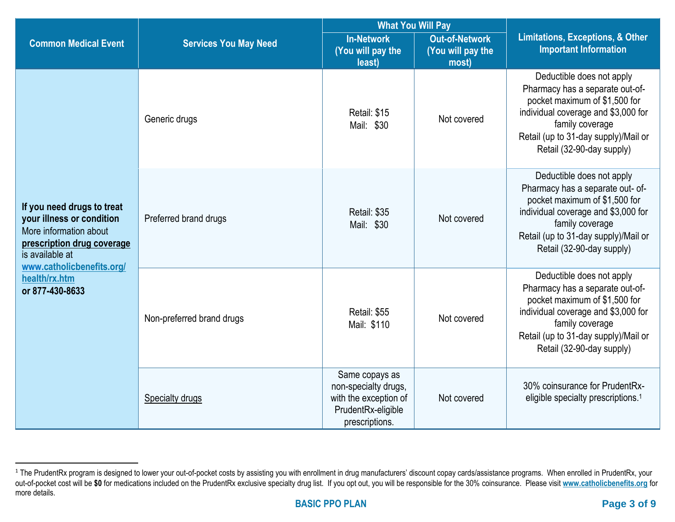|                                                                                                                                                                 |                              | <b>What You Will Pay</b>                                                                                |                                |                                                                                                                                                                                                                               |  |
|-----------------------------------------------------------------------------------------------------------------------------------------------------------------|------------------------------|---------------------------------------------------------------------------------------------------------|--------------------------------|-------------------------------------------------------------------------------------------------------------------------------------------------------------------------------------------------------------------------------|--|
| <b>Common Medical Event</b>                                                                                                                                     | <b>Services You May Need</b> | <b>In-Network</b><br><b>Out-of-Network</b><br>(You will pay the<br>(You will pay the<br>least)<br>most) |                                | <b>Limitations, Exceptions, &amp; Other</b><br><b>Important Information</b>                                                                                                                                                   |  |
|                                                                                                                                                                 | Generic drugs                | Retail: \$15<br>Mail: \$30                                                                              | Not covered                    | Deductible does not apply<br>Pharmacy has a separate out-of-<br>pocket maximum of \$1,500 for<br>individual coverage and \$3,000 for<br>family coverage<br>Retail (up to 31-day supply)/Mail or<br>Retail (32-90-day supply)  |  |
| If you need drugs to treat<br>your illness or condition<br>More information about<br>prescription drug coverage<br>is available at<br>www.catholicbenefits.org/ | Preferred brand drugs        | Retail: \$35<br>Mail: \$30                                                                              | Not covered                    | Deductible does not apply<br>Pharmacy has a separate out- of-<br>pocket maximum of \$1,500 for<br>individual coverage and \$3,000 for<br>family coverage<br>Retail (up to 31-day supply)/Mail or<br>Retail (32-90-day supply) |  |
| health/rx.htm<br>or 877-430-8633                                                                                                                                | Non-preferred brand drugs    | Retail: \$55<br>Mail: \$110                                                                             | Not covered<br>family coverage | Deductible does not apply<br>Pharmacy has a separate out-of-<br>pocket maximum of \$1,500 for<br>individual coverage and \$3,000 for<br>Retail (up to 31-day supply)/Mail or<br>Retail (32-90-day supply)                     |  |
|                                                                                                                                                                 | <b>Specialty drugs</b>       | Same copays as<br>non-specialty drugs,<br>with the exception of<br>PrudentRx-eligible<br>prescriptions. | Not covered                    | 30% coinsurance for PrudentRx-<br>eligible specialty prescriptions. <sup>1</sup>                                                                                                                                              |  |

<sup>&</sup>lt;sup>1</sup> The PrudentRx program is designed to lower your out-of-pocket costs by assisting you with enrollment in drug manufacturers' discount copay cards/assistance programs. When enrolled in PrudentRx, your out-of-pocket cost will be **\$0** for medications included on the PrudentRx exclusive specialty drug list. If you opt out, you will be responsible for the 30% coinsurance. Please visit **[www.catholicbenefits.org](http://www.catholicbenefits.org/)** for more details.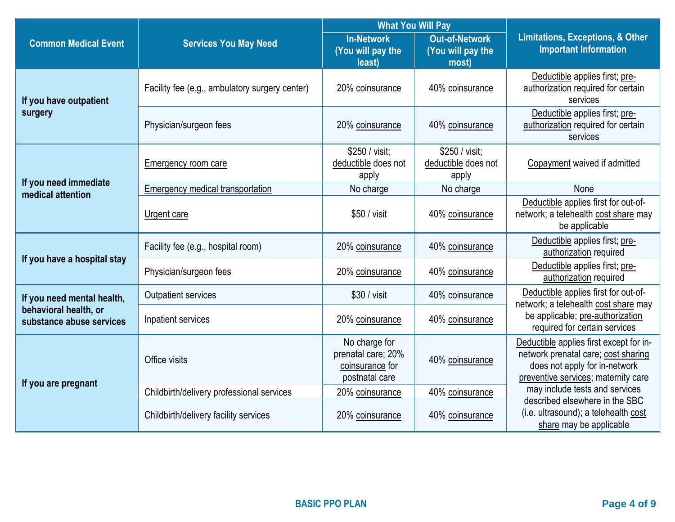|                                                   |                                                | <b>What You Will Pay</b>                                                 |                                                     |                                                                                                                                                        |  |
|---------------------------------------------------|------------------------------------------------|--------------------------------------------------------------------------|-----------------------------------------------------|--------------------------------------------------------------------------------------------------------------------------------------------------------|--|
| <b>Common Medical Event</b>                       | <b>Services You May Need</b>                   | <b>In-Network</b><br>(You will pay the<br>least)                         | <b>Out-of-Network</b><br>(You will pay the<br>most) | <b>Limitations, Exceptions, &amp; Other</b><br><b>Important Information</b>                                                                            |  |
| If you have outpatient                            | Facility fee (e.g., ambulatory surgery center) | 20% coinsurance                                                          | 40% coinsurance                                     | Deductible applies first; pre-<br>authorization required for certain<br>services                                                                       |  |
| surgery                                           | Physician/surgeon fees                         | 20% coinsurance                                                          | 40% coinsurance                                     | Deductible applies first; pre-<br>authorization required for certain<br>services                                                                       |  |
|                                                   | Emergency room care                            | \$250 / visit;<br>deductible does not<br>apply                           | \$250 / visit:<br>deductible does not<br>apply      | Copayment waived if admitted                                                                                                                           |  |
| If you need immediate<br>medical attention        | Emergency medical transportation               | No charge                                                                | No charge                                           | None                                                                                                                                                   |  |
|                                                   | Urgent care                                    | \$50 / visit                                                             | 40% coinsurance                                     | Deductible applies first for out-of-<br>network; a telehealth cost share may<br>be applicable                                                          |  |
| If you have a hospital stay                       | Facility fee (e.g., hospital room)             | 20% coinsurance                                                          | 40% coinsurance                                     | Deductible applies first; pre-<br>authorization required                                                                                               |  |
|                                                   | Physician/surgeon fees                         | 20% coinsurance                                                          | 40% coinsurance                                     | Deductible applies first; pre-<br>authorization required                                                                                               |  |
| If you need mental health,                        | Outpatient services                            | \$30 / visit                                                             | 40% coinsurance                                     | Deductible applies first for out-of-<br>network; a telehealth cost share may<br>be applicable; pre-authorization<br>required for certain services      |  |
| behavioral health, or<br>substance abuse services | Inpatient services                             | 20% coinsurance                                                          | 40% coinsurance                                     |                                                                                                                                                        |  |
| If you are pregnant                               | Office visits                                  | No charge for<br>prenatal care; 20%<br>coinsurance for<br>postnatal care | 40% coinsurance                                     | Deductible applies first except for in-<br>network prenatal care; cost sharing<br>does not apply for in-network<br>preventive services; maternity care |  |
|                                                   | Childbirth/delivery professional services      | 20% coinsurance                                                          | 40% coinsurance                                     | may include tests and services                                                                                                                         |  |
|                                                   | Childbirth/delivery facility services          | 20% coinsurance                                                          | 40% coinsurance                                     | described elsewhere in the SBC<br>(i.e. ultrasound); a telehealth cost<br>share may be applicable                                                      |  |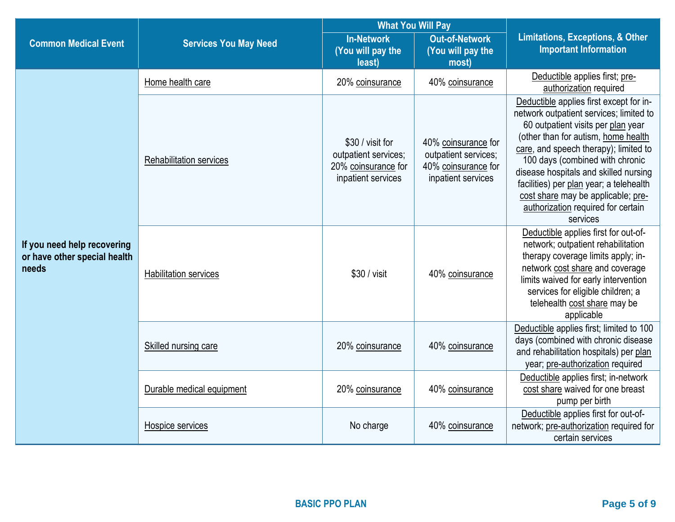|                                                                      |                                |                                                                                       | <b>What You Will Pay</b>                                                                 |                                                                                                                                                                                                                                                                                                                                                                                                                         |  |
|----------------------------------------------------------------------|--------------------------------|---------------------------------------------------------------------------------------|------------------------------------------------------------------------------------------|-------------------------------------------------------------------------------------------------------------------------------------------------------------------------------------------------------------------------------------------------------------------------------------------------------------------------------------------------------------------------------------------------------------------------|--|
| <b>Common Medical Event</b>                                          | <b>Services You May Need</b>   | <b>In-Network</b><br>(You will pay the<br>least)                                      | <b>Out-of-Network</b><br>(You will pay the<br>most)                                      | <b>Limitations, Exceptions, &amp; Other</b><br><b>Important Information</b>                                                                                                                                                                                                                                                                                                                                             |  |
|                                                                      | Home health care               | 20% coinsurance                                                                       | 40% coinsurance                                                                          | Deductible applies first; pre-<br>authorization required                                                                                                                                                                                                                                                                                                                                                                |  |
|                                                                      | <b>Rehabilitation services</b> | \$30 / visit for<br>outpatient services;<br>20% coinsurance for<br>inpatient services | 40% coinsurance for<br>outpatient services;<br>40% coinsurance for<br>inpatient services | Deductible applies first except for in-<br>network outpatient services; limited to<br>60 outpatient visits per plan year<br>(other than for autism, home health<br>care, and speech therapy); limited to<br>100 days (combined with chronic<br>disease hospitals and skilled nursing<br>facilities) per plan year; a telehealth<br>cost share may be applicable; pre-<br>authorization required for certain<br>services |  |
| If you need help recovering<br>or have other special health<br>needs | <b>Habilitation services</b>   | \$30 / visit                                                                          | 40% coinsurance                                                                          | Deductible applies first for out-of-<br>network; outpatient rehabilitation<br>therapy coverage limits apply; in-<br>network cost share and coverage<br>limits waived for early intervention<br>services for eligible children; a<br>telehealth cost share may be<br>applicable                                                                                                                                          |  |
|                                                                      | <b>Skilled nursing care</b>    | 20% coinsurance                                                                       | 40% coinsurance                                                                          | Deductible applies first; limited to 100<br>days (combined with chronic disease<br>and rehabilitation hospitals) per plan<br>year; pre-authorization required                                                                                                                                                                                                                                                           |  |
|                                                                      | Durable medical equipment      | 20% coinsurance                                                                       | 40% coinsurance                                                                          | Deductible applies first; in-network<br>cost share waived for one breast<br>pump per birth                                                                                                                                                                                                                                                                                                                              |  |
|                                                                      | Hospice services               | No charge                                                                             | 40% coinsurance                                                                          | Deductible applies first for out-of-<br>network; pre-authorization required for<br>certain services                                                                                                                                                                                                                                                                                                                     |  |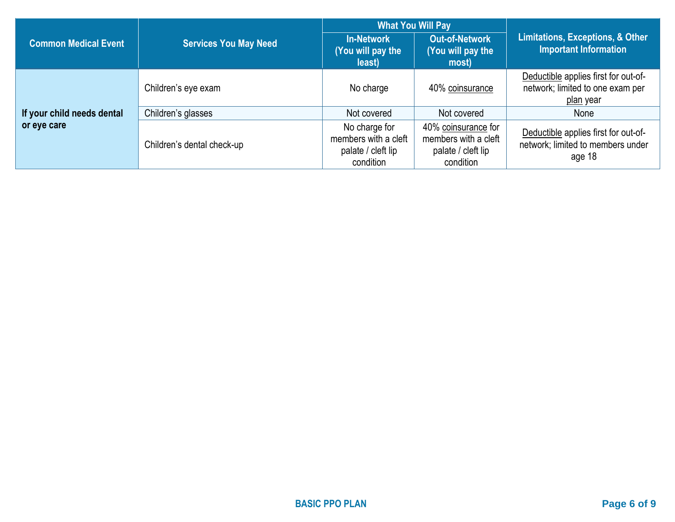|                             |                              |                                                                          | <b>What You Will Pay</b>                                                       |                                                                                              |  |
|-----------------------------|------------------------------|--------------------------------------------------------------------------|--------------------------------------------------------------------------------|----------------------------------------------------------------------------------------------|--|
| <b>Common Medical Event</b> | <b>Services You May Need</b> | <b>In-Network</b><br>(You will pay the<br>least)                         | <b>Out-of-Network</b><br>(You will pay the<br>most)                            | Limitations, Exceptions, & Other<br><b>Important Information</b>                             |  |
|                             | Children's eye exam          | No charge                                                                | 40% coinsurance                                                                | Deductible applies first for out-of-<br>network; limited to one exam per<br><u>plan</u> year |  |
| If your child needs dental  | Children's glasses           | Not covered                                                              | Not covered                                                                    | None                                                                                         |  |
| or eye care                 | Children's dental check-up   | No charge for<br>members with a cleft<br>palate / cleft lip<br>condition | 40% coinsurance for<br>members with a cleft<br>palate / cleft lip<br>condition | Deductible applies first for out-of-<br>network; limited to members under<br>age 18          |  |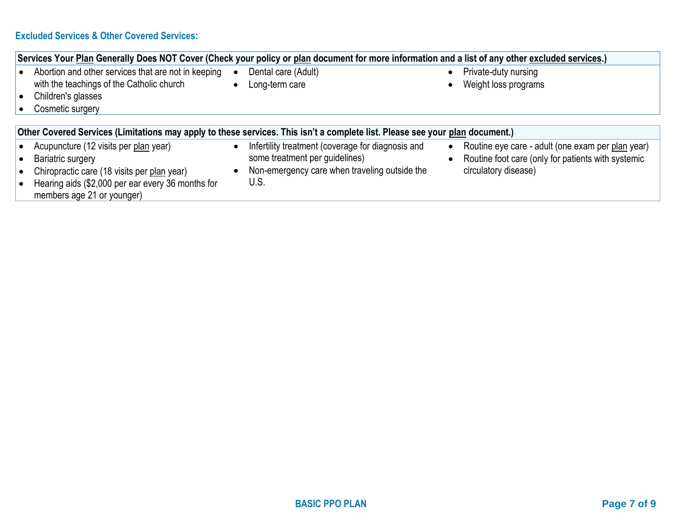## **Excluded Services & Other Covered Services:**

|                        | Services Your Plan Generally Does NOT Cover (Check your policy or plan document for more information and a list of any other excluded services.) |           |                                                                                     |                        |                                                                                                         |
|------------------------|--------------------------------------------------------------------------------------------------------------------------------------------------|-----------|-------------------------------------------------------------------------------------|------------------------|---------------------------------------------------------------------------------------------------------|
| $\bullet$<br>$\bullet$ | Abortion and other services that are not in keeping<br>with the teachings of the Catholic church<br>Children's glasses<br>Cosmetic surgery       | $\bullet$ | Dental care (Adult)<br>Long-term care                                               | $\bullet$              | Private-duty nursing<br>Weight loss programs                                                            |
|                        | Other Covered Services (Limitations may apply to these services. This isn't a complete list. Please see your plan document.)                     |           |                                                                                     |                        |                                                                                                         |
|                        | Acupuncture (12 visits per plan year)<br>Bariatric surgery                                                                                       | $\bullet$ | Infertility treatment (coverage for diagnosis and<br>some treatment per guidelines) | $\bullet$<br>$\bullet$ | Routine eye care - adult (one exam per plan year)<br>Routine foot care (only for patients with systemic |
|                        | Chiropractic care (18 visits per plan year)<br>Hearing aids (\$2,000 per ear every 36 months for<br>members age 21 or younger)                   |           | Non-emergency care when traveling outside the<br>U.S.                               |                        | circulatory disease)                                                                                    |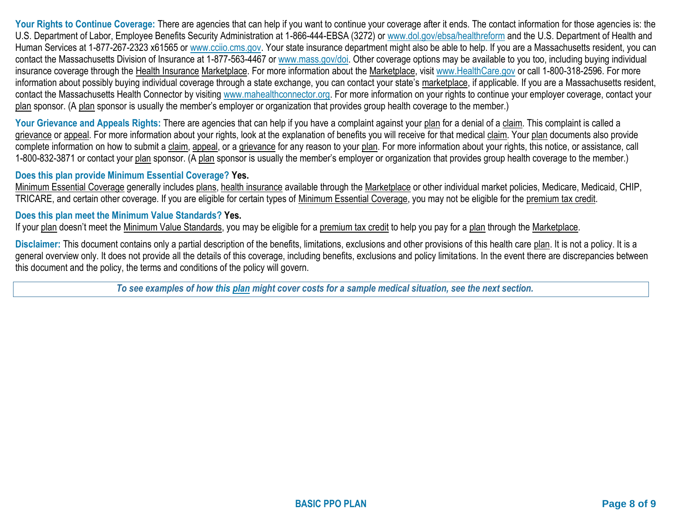Your Rights to Continue Coverage: There are agencies that can help if you want to continue your coverage after it ends. The contact information for those agencies is: the U.S. Department of Labor, Employee Benefits Security Administration at 1-866-444-EBSA (3272) or [www.dol.gov/ebsa/healthreform](http://www.dol.gov/ebsa/healthreform) and the U.S. Department of Health and Human Services at 1-877-267-2323 x61565 or [www.cciio.cms.gov.](http://www.cciio.cms.gov/) Your state insurance department might also be able to help. If you are a Massachusetts resident, you can contact the Massachusetts Division of Insurance at 1-877-563-4467 or [www.mass.gov/doi.](http://www.mass.gov/doi) Other coverage options may be available to you too, including buying individual insurance coverage through the Health Insurance Marketplace. For more information about the Marketplace, visit [www.HealthCare.gov](http://www.healthcare.gov/) or call 1-800-318-2596. For more information about possibly buying individual coverage through a state exchange, you can contact your state's marketplace, if applicable. If you are a Massachusetts resident, contact the Massachusetts Health Connector by visiting [www.mahealthconnector.org.](http://www.mahealthconnector.org/) For more information on your rights to continue your employer coverage, contact your plan sponsor. (A plan sponsor is usually the member's employer or organization that provides group health coverage to the member.)

Your Grievance and Appeals Rights: There are agencies that can help if you have a complaint against your plan for a denial of a claim. This complaint is called a grievance or appeal. For more information about your rights, look at the explanation of benefits you will receive for that medical claim. Your plan documents also provide complete information on how to submit a claim, appeal, or a grievance for any reason to your plan. For more information about your rights, this notice, or assistance, call 1-800-832-3871 or contact your plan sponsor. (A plan sponsor is usually the member's employer or organization that provides group health coverage to the member.)

## **Does this plan provide Minimum Essential Coverage? Yes.**

Minimum Essential Coverage generally includes plans, health insurance available through the Marketplace or other individual market policies, Medicare, Medicaid, CHIP, TRICARE, and certain other coverage. If you are eligible for certain types of Minimum Essential Coverage, you may not be eligible for the premium tax credit.

## **Does this plan meet the Minimum Value Standards? Yes.**

If your plan doesn't meet the Minimum Value Standards, you may be eligible for a premium tax credit to help you pay for a plan through the Marketplace.

**Disclaimer:** This document contains only a partial description of the benefits, limitations, exclusions and other provisions of this health care plan. It is not a policy. It is a general overview only. It does not provide all the details of this coverage, including benefits, exclusions and policy limitations. In the event there are discrepancies between this document and the policy, the terms and conditions of the policy will govern.

*To see examples of how this plan might cover costs for a sample medical situation, see the next section.*